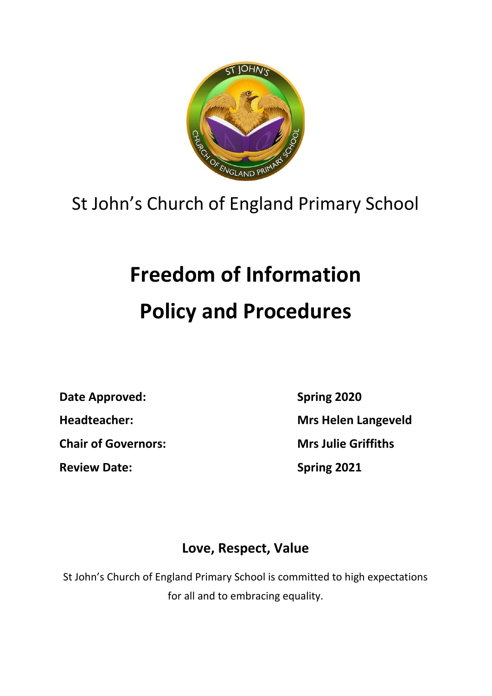

## St John's Church of England Primary School

## **Freedom of Information Policy and Procedures**

**Date Approved: Spring 2020**

**Chair of Governors: Mrs Julie Griffiths**

**Review Date: Spring 2021**

**Headteacher: Mrs Helen Langeveld**

## **Love, Respect, Value**

St John's Church of England Primary School is committed to high expectations for all and to embracing equality.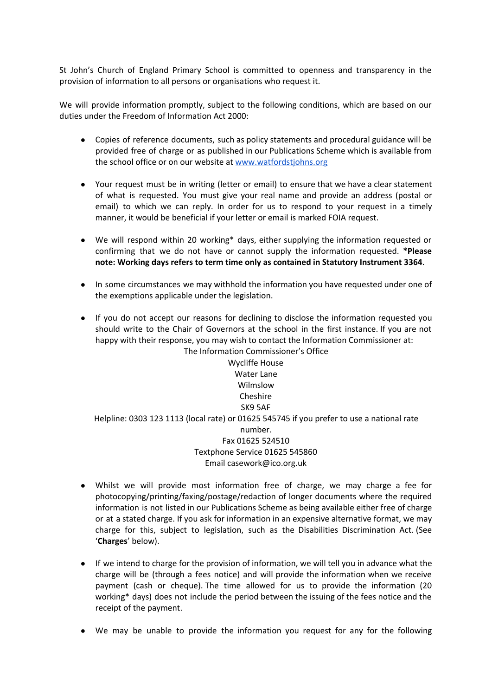St John's Church of England Primary School is committed to openness and transparency in the provision of information to all persons or organisations who request it.

We will provide information promptly, subject to the following conditions, which are based on our duties under the Freedom of Information Act 2000:

- Copies of reference documents, such as policy statements and procedural guidance will be provided free of charge or as published in our Publications Scheme which is available from the school office or on our website at [www.watfordstjohns.org](http://www.watfordstjohns.org/)
- Your request must be in writing (letter or email) to ensure that we have a clear statement of what is requested. You must give your real name and provide an address (postal or email) to which we can reply. In order for us to respond to your request in a timely manner, it would be beneficial if your letter or email is marked FOIA request.
- We will respond within 20 working\* days, either supplying the information requested or confirming that we do not have or cannot supply the information requested. **\*Please note: Working days refers to term time only as contained in Statutory Instrument 3364**.
- In some circumstances we may withhold the information you have requested under one of the exemptions applicable under the legislation.
- If you do not accept our reasons for declining to disclose the information requested you should write to the Chair of Governors at the school in the first instance. If you are not happy with their response, you may wish to contact the Information Commissioner at: The Information Commissioner's Office

Wycliffe House Water Lane Wilmslow Cheshire SK9 5AF Helpline: 0303 123 1113 (local rate) or 01625 545745 if you prefer to use a national rate number. Fax 01625 524510 Textphone Service 01625 545860 Email casework@ico.org.uk

- Whilst we will provide most information free of charge, we may charge a fee for photocopying/printing/faxing/postage/redaction of longer documents where the required information is not listed in our Publications Scheme as being available either free of charge or at a stated charge. If you ask for information in an expensive alternative format, we may charge for this, subject to legislation, such as the Disabilities Discrimination Act. (See '**Charges**' below).
- If we intend to charge for the provision of information, we will tell you in advance what the charge will be (through a fees notice) and will provide the information when we receive payment (cash or cheque). The time allowed for us to provide the information (20 working\* days) does not include the period between the issuing of the fees notice and the receipt of the payment.
- We may be unable to provide the information you request for any for the following